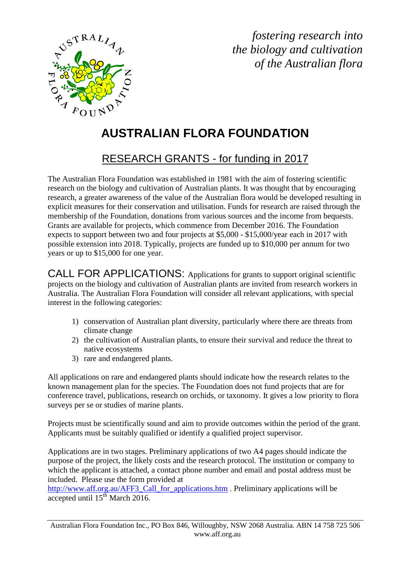

*fostering research into the biology and cultivation of the Australian flora*

## **AUSTRALIAN FLORA FOUNDATION**

## RESEARCH GRANTS - for funding in 2017

The Australian Flora Foundation was established in 1981 with the aim of fostering scientific research on the biology and cultivation of Australian plants. It was thought that by encouraging research, a greater awareness of the value of the Australian flora would be developed resulting in explicit measures for their conservation and utilisation. Funds for research are raised through the membership of the Foundation, donations from various sources and the income from bequests. Grants are available for projects, which commence from December 2016. The Foundation expects to support between two and four projects at \$5,000 - \$15,000/year each in 2017 with possible extension into 2018. Typically, projects are funded up to \$10,000 per annum for two years or up to \$15,000 for one year.

CALL FOR APPLICATIONS: Applications for grants to support original scientific projects on the biology and cultivation of Australian plants are invited from research workers in Australia. The Australian Flora Foundation will consider all relevant applications, with special interest in the following categories:

- 1) conservation of Australian plant diversity, particularly where there are threats from climate change
- 2) the cultivation of Australian plants, to ensure their survival and reduce the threat to native ecosystems
- 3) rare and endangered plants.

All applications on rare and endangered plants should indicate how the research relates to the known management plan for the species. The Foundation does not fund projects that are for conference travel, publications, research on orchids, or taxonomy. It gives a low priority to flora surveys per se or studies of marine plants.

Projects must be scientifically sound and aim to provide outcomes within the period of the grant. Applicants must be suitably qualified or identify a qualified project supervisor.

Applications are in two stages. Preliminary applications of two A4 pages should indicate the purpose of the project, the likely costs and the research protocol. The institution or company to which the applicant is attached, a contact phone number and email and postal address must be included. Please use the form provided at

[http://www.aff.org.au/AFF3\\_Call\\_for\\_applications.htm](http://www.aff.org.au/AFF3_Call_for_applications.htm) . Preliminary applications will be accepted until  $15^{th}$  March 2016.